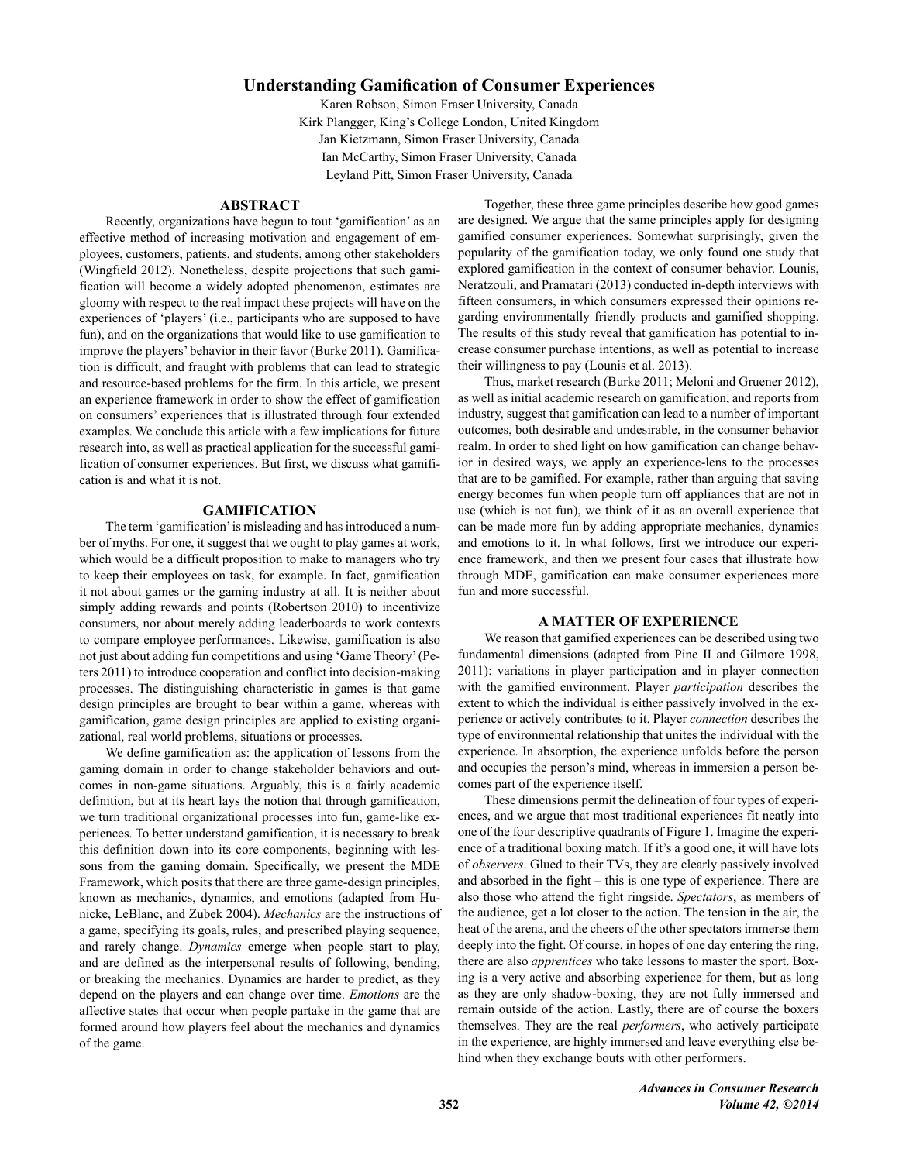# **Understanding Gamification of Consumer Experiences**

Karen Robson, Simon Fraser University, Canada Kirk Plangger, King's College London, United Kingdom Jan Kietzmann, Simon Fraser University, Canada Ian McCarthy, Simon Fraser University, Canada Leyland Pitt, Simon Fraser University, Canada

## **ABSTRACT**

Recently, organizations have begun to tout 'gamification' as an effective method of increasing motivation and engagement of employees, customers, patients, and students, among other stakeholders (Wingfield 2012). Nonetheless, despite projections that such gamification will become a widely adopted phenomenon, estimates are gloomy with respect to the real impact these projects will have on the experiences of 'players' (i.e., participants who are supposed to have fun), and on the organizations that would like to use gamification to improve the players' behavior in their favor (Burke 2011). Gamification is difficult, and fraught with problems that can lead to strategic and resource-based problems for the firm. In this article, we present an experience framework in order to show the effect of gamification on consumers' experiences that is illustrated through four extended examples. We conclude this article with a few implications for future research into, as well as practical application for the successful gamification of consumer experiences. But first, we discuss what gamification is and what it is not.

## **GAMIFICATION**

The term 'gamification' is misleading and has introduced a number of myths. For one, it suggest that we ought to play games at work, which would be a difficult proposition to make to managers who try to keep their employees on task, for example. In fact, gamification it not about games or the gaming industry at all. It is neither about simply adding rewards and points (Robertson 2010) to incentivize consumers, nor about merely adding leaderboards to work contexts to compare employee performances. Likewise, gamification is also not just about adding fun competitions and using 'Game Theory' (Peters 2011) to introduce cooperation and conflict into decision-making processes. The distinguishing characteristic in games is that game design principles are brought to bear within a game, whereas with gamification, game design principles are applied to existing organizational, real world problems, situations or processes.

We define gamification as: the application of lessons from the gaming domain in order to change stakeholder behaviors and outcomes in non-game situations. Arguably, this is a fairly academic definition, but at its heart lays the notion that through gamification, we turn traditional organizational processes into fun, game-like experiences. To better understand gamification, it is necessary to break this definition down into its core components, beginning with lessons from the gaming domain. Specifically, we present the MDE Framework, which posits that there are three game-design principles, known as mechanics, dynamics, and emotions (adapted from Hunicke, LeBlanc, and Zubek 2004). *Mechanics* are the instructions of a game, specifying its goals, rules, and prescribed playing sequence, and rarely change. *Dynamics* emerge when people start to play, and are defined as the interpersonal results of following, bending, or breaking the mechanics. Dynamics are harder to predict, as they depend on the players and can change over time. *Emotions* are the affective states that occur when people partake in the game that are formed around how players feel about the mechanics and dynamics of the game.

Together, these three game principles describe how good games are designed. We argue that the same principles apply for designing gamified consumer experiences. Somewhat surprisingly, given the popularity of the gamification today, we only found one study that explored gamification in the context of consumer behavior. Lounis, Neratzouli, and Pramatari (2013) conducted in-depth interviews with fifteen consumers, in which consumers expressed their opinions regarding environmentally friendly products and gamified shopping. The results of this study reveal that gamification has potential to increase consumer purchase intentions, as well as potential to increase their willingness to pay (Lounis et al. 2013).

Thus, market research (Burke 2011; Meloni and Gruener 2012), as well as initial academic research on gamification, and reports from industry, suggest that gamification can lead to a number of important outcomes, both desirable and undesirable, in the consumer behavior realm. In order to shed light on how gamification can change behavior in desired ways, we apply an experience-lens to the processes that are to be gamified. For example, rather than arguing that saving energy becomes fun when people turn off appliances that are not in use (which is not fun), we think of it as an overall experience that can be made more fun by adding appropriate mechanics, dynamics and emotions to it. In what follows, first we introduce our experience framework, and then we present four cases that illustrate how through MDE, gamification can make consumer experiences more fun and more successful.

### **A MATTER OF EXPERIENCE**

We reason that gamified experiences can be described using two fundamental dimensions (adapted from Pine II and Gilmore 1998, 2011): variations in player participation and in player connection with the gamified environment. Player *participation* describes the extent to which the individual is either passively involved in the experience or actively contributes to it. Player *connection* describes the type of environmental relationship that unites the individual with the experience. In absorption, the experience unfolds before the person and occupies the person's mind, whereas in immersion a person becomes part of the experience itself.

These dimensions permit the delineation of four types of experiences, and we argue that most traditional experiences fit neatly into one of the four descriptive quadrants of Figure 1. Imagine the experience of a traditional boxing match. If it's a good one, it will have lots of *observers*. Glued to their TVs, they are clearly passively involved and absorbed in the fight – this is one type of experience. There are also those who attend the fight ringside. *Spectators*, as members of the audience, get a lot closer to the action. The tension in the air, the heat of the arena, and the cheers of the other spectators immerse them deeply into the fight. Of course, in hopes of one day entering the ring, there are also *apprentices* who take lessons to master the sport. Boxing is a very active and absorbing experience for them, but as long as they are only shadow-boxing, they are not fully immersed and remain outside of the action. Lastly, there are of course the boxers themselves. They are the real *performers*, who actively participate in the experience, are highly immersed and leave everything else behind when they exchange bouts with other performers.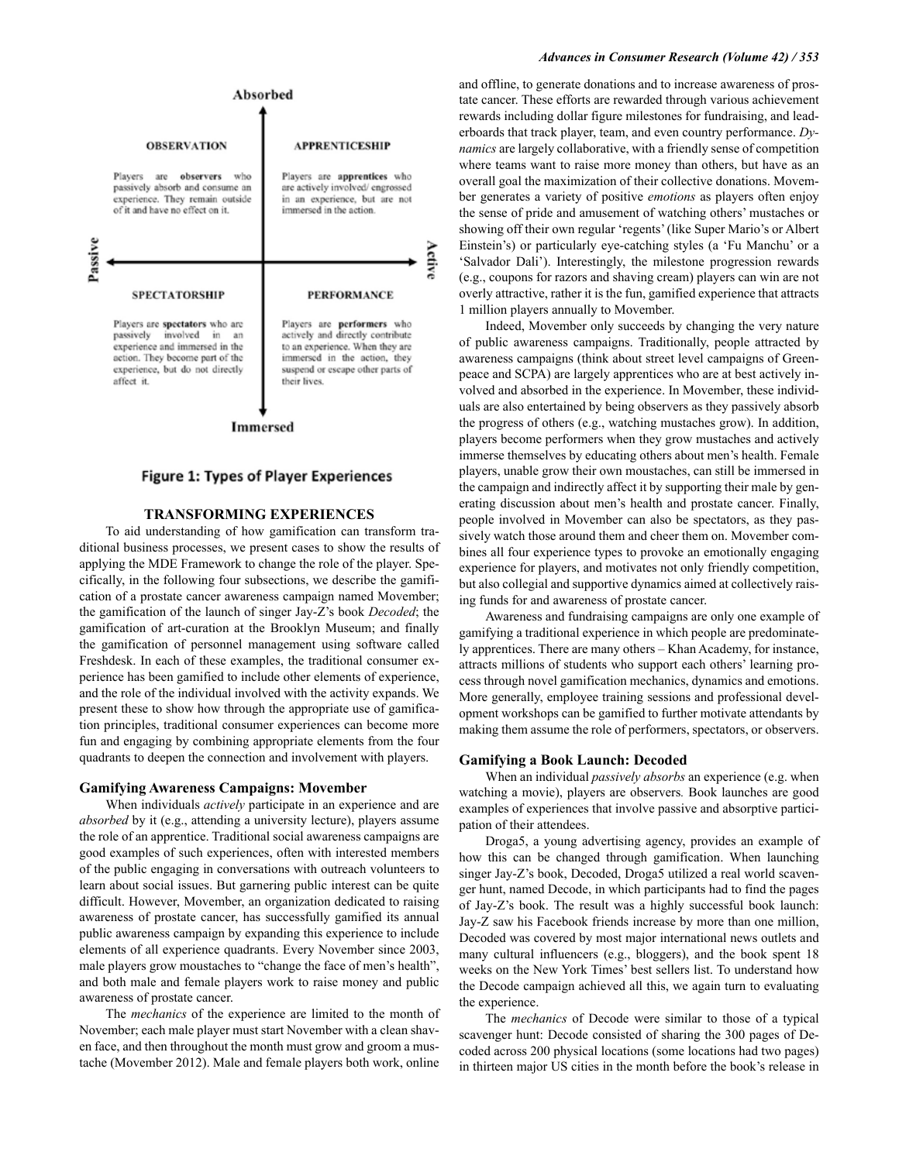

#### **Immersed**

### **Figure 1: Types of Player Experiences**

### **TRANSFORMING EXPERIENCES**

To aid understanding of how gamification can transform traditional business processes, we present cases to show the results of applying the MDE Framework to change the role of the player. Specifically, in the following four subsections, we describe the gamification of a prostate cancer awareness campaign named Movember; the gamification of the launch of singer Jay-Z's book *Decoded*; the gamification of art-curation at the Brooklyn Museum; and finally the gamification of personnel management using software called Freshdesk. In each of these examples, the traditional consumer experience has been gamified to include other elements of experience, and the role of the individual involved with the activity expands. We present these to show how through the appropriate use of gamification principles, traditional consumer experiences can become more fun and engaging by combining appropriate elements from the four quadrants to deepen the connection and involvement with players.

#### **Gamifying Awareness Campaigns: Movember**

When individuals *actively* participate in an experience and are *absorbed* by it (e.g., attending a university lecture), players assume the role of an apprentice. Traditional social awareness campaigns are good examples of such experiences, often with interested members of the public engaging in conversations with outreach volunteers to learn about social issues. But garnering public interest can be quite difficult. However, Movember, an organization dedicated to raising awareness of prostate cancer, has successfully gamified its annual public awareness campaign by expanding this experience to include elements of all experience quadrants. Every November since 2003, male players grow moustaches to "change the face of men's health", and both male and female players work to raise money and public awareness of prostate cancer.

The *mechanics* of the experience are limited to the month of November; each male player must start November with a clean shaven face, and then throughout the month must grow and groom a mustache (Movember 2012). Male and female players both work, online

#### *Advances in Consumer Research (Volume 42) / 353*

and offline, to generate donations and to increase awareness of prostate cancer. These efforts are rewarded through various achievement rewards including dollar figure milestones for fundraising, and leaderboards that track player, team, and even country performance. *Dynamics* are largely collaborative, with a friendly sense of competition where teams want to raise more money than others, but have as an overall goal the maximization of their collective donations. Movember generates a variety of positive *emotions* as players often enjoy the sense of pride and amusement of watching others' mustaches or showing off their own regular 'regents' (like Super Mario's or Albert Einstein's) or particularly eye-catching styles (a 'Fu Manchu' or a 'Salvador Dali'). Interestingly, the milestone progression rewards (e.g., coupons for razors and shaving cream) players can win are not overly attractive, rather it is the fun, gamified experience that attracts 1 million players annually to Movember.

Indeed, Movember only succeeds by changing the very nature of public awareness campaigns. Traditionally, people attracted by awareness campaigns (think about street level campaigns of Greenpeace and SCPA) are largely apprentices who are at best actively involved and absorbed in the experience. In Movember, these individuals are also entertained by being observers as they passively absorb the progress of others (e.g., watching mustaches grow). In addition, players become performers when they grow mustaches and actively immerse themselves by educating others about men's health. Female players, unable grow their own moustaches, can still be immersed in the campaign and indirectly affect it by supporting their male by generating discussion about men's health and prostate cancer. Finally, people involved in Movember can also be spectators, as they passively watch those around them and cheer them on. Movember combines all four experience types to provoke an emotionally engaging experience for players, and motivates not only friendly competition, but also collegial and supportive dynamics aimed at collectively raising funds for and awareness of prostate cancer.

Awareness and fundraising campaigns are only one example of gamifying a traditional experience in which people are predominately apprentices. There are many others – Khan Academy, for instance, attracts millions of students who support each others' learning process through novel gamification mechanics, dynamics and emotions. More generally, employee training sessions and professional development workshops can be gamified to further motivate attendants by making them assume the role of performers, spectators, or observers.

### **Gamifying a Book Launch: Decoded**

When an individual *passively absorbs* an experience (e.g. when watching a movie), players are observers*.* Book launches are good examples of experiences that involve passive and absorptive participation of their attendees.

Droga5, a young advertising agency, provides an example of how this can be changed through gamification. When launching singer Jay-Z's book, Decoded, Droga5 utilized a real world scavenger hunt, named Decode, in which participants had to find the pages of Jay-Z's book. The result was a highly successful book launch: Jay-Z saw his Facebook friends increase by more than one million, Decoded was covered by most major international news outlets and many cultural influencers (e.g., bloggers), and the book spent 18 weeks on the New York Times' best sellers list. To understand how the Decode campaign achieved all this, we again turn to evaluating the experience.

The *mechanics* of Decode were similar to those of a typical scavenger hunt: Decode consisted of sharing the 300 pages of Decoded across 200 physical locations (some locations had two pages) in thirteen major US cities in the month before the book's release in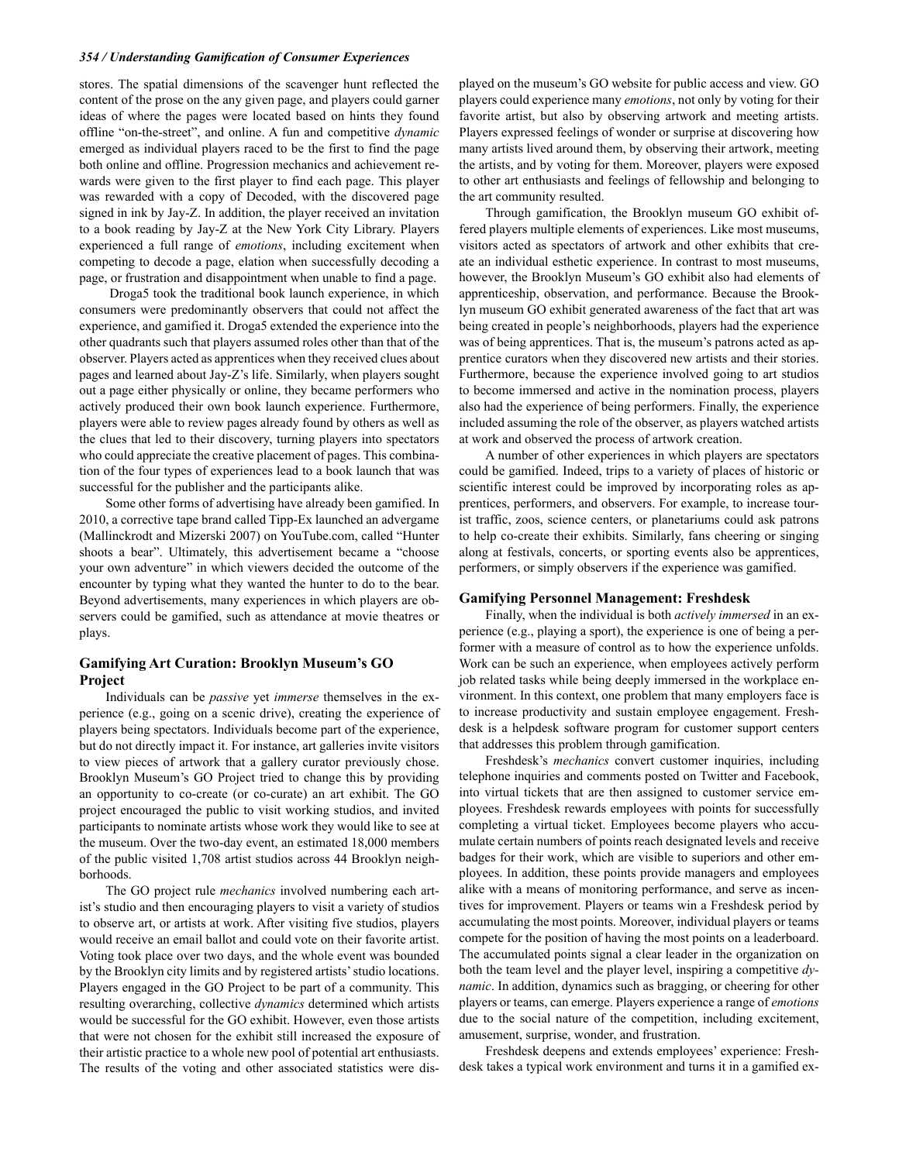### *354 / Understanding Gamification of Consumer Experiences*

stores. The spatial dimensions of the scavenger hunt reflected the content of the prose on the any given page, and players could garner ideas of where the pages were located based on hints they found offline "on-the-street", and online. A fun and competitive *dynamic* emerged as individual players raced to be the first to find the page both online and offline. Progression mechanics and achievement rewards were given to the first player to find each page. This player was rewarded with a copy of Decoded, with the discovered page signed in ink by Jay-Z. In addition, the player received an invitation to a book reading by Jay-Z at the New York City Library. Players experienced a full range of *emotions*, including excitement when competing to decode a page, elation when successfully decoding a page, or frustration and disappointment when unable to find a page.

 Droga5 took the traditional book launch experience, in which consumers were predominantly observers that could not affect the experience, and gamified it. Droga5 extended the experience into the other quadrants such that players assumed roles other than that of the observer. Players acted as apprentices when they received clues about pages and learned about Jay-Z's life. Similarly, when players sought out a page either physically or online, they became performers who actively produced their own book launch experience. Furthermore, players were able to review pages already found by others as well as the clues that led to their discovery, turning players into spectators who could appreciate the creative placement of pages. This combination of the four types of experiences lead to a book launch that was successful for the publisher and the participants alike.

Some other forms of advertising have already been gamified. In 2010, a corrective tape brand called Tipp-Ex launched an advergame (Mallinckrodt and Mizerski 2007) on YouTube.com, called "Hunter shoots a bear". Ultimately, this advertisement became a "choose your own adventure" in which viewers decided the outcome of the encounter by typing what they wanted the hunter to do to the bear. Beyond advertisements, many experiences in which players are observers could be gamified, such as attendance at movie theatres or plays.

## **Gamifying Art Curation: Brooklyn Museum's GO Project**

Individuals can be *passive* yet *immerse* themselves in the experience (e.g., going on a scenic drive), creating the experience of players being spectators. Individuals become part of the experience, but do not directly impact it. For instance, art galleries invite visitors to view pieces of artwork that a gallery curator previously chose. Brooklyn Museum's GO Project tried to change this by providing an opportunity to co-create (or co-curate) an art exhibit. The GO project encouraged the public to visit working studios, and invited participants to nominate artists whose work they would like to see at the museum. Over the two-day event, an estimated 18,000 members of the public visited 1,708 artist studios across 44 Brooklyn neighborhoods.

The GO project rule *mechanics* involved numbering each artist's studio and then encouraging players to visit a variety of studios to observe art, or artists at work. After visiting five studios, players would receive an email ballot and could vote on their favorite artist. Voting took place over two days, and the whole event was bounded by the Brooklyn city limits and by registered artists' studio locations. Players engaged in the GO Project to be part of a community. This resulting overarching, collective *dynamics* determined which artists would be successful for the GO exhibit. However, even those artists that were not chosen for the exhibit still increased the exposure of their artistic practice to a whole new pool of potential art enthusiasts. The results of the voting and other associated statistics were displayed on the museum's GO website for public access and view. GO players could experience many *emotions*, not only by voting for their favorite artist, but also by observing artwork and meeting artists. Players expressed feelings of wonder or surprise at discovering how many artists lived around them, by observing their artwork, meeting the artists, and by voting for them. Moreover, players were exposed to other art enthusiasts and feelings of fellowship and belonging to the art community resulted.

Through gamification, the Brooklyn museum GO exhibit offered players multiple elements of experiences. Like most museums, visitors acted as spectators of artwork and other exhibits that create an individual esthetic experience. In contrast to most museums, however, the Brooklyn Museum's GO exhibit also had elements of apprenticeship, observation, and performance. Because the Brooklyn museum GO exhibit generated awareness of the fact that art was being created in people's neighborhoods, players had the experience was of being apprentices. That is, the museum's patrons acted as apprentice curators when they discovered new artists and their stories. Furthermore, because the experience involved going to art studios to become immersed and active in the nomination process, players also had the experience of being performers. Finally, the experience included assuming the role of the observer, as players watched artists at work and observed the process of artwork creation.

A number of other experiences in which players are spectators could be gamified. Indeed, trips to a variety of places of historic or scientific interest could be improved by incorporating roles as apprentices, performers, and observers. For example, to increase tourist traffic, zoos, science centers, or planetariums could ask patrons to help co-create their exhibits. Similarly, fans cheering or singing along at festivals, concerts, or sporting events also be apprentices, performers, or simply observers if the experience was gamified.

#### **Gamifying Personnel Management: Freshdesk**

Finally, when the individual is both *actively immersed* in an experience (e.g., playing a sport), the experience is one of being a performer with a measure of control as to how the experience unfolds. Work can be such an experience, when employees actively perform job related tasks while being deeply immersed in the workplace environment. In this context, one problem that many employers face is to increase productivity and sustain employee engagement. Freshdesk is a helpdesk software program for customer support centers that addresses this problem through gamification.

Freshdesk's *mechanics* convert customer inquiries, including telephone inquiries and comments posted on Twitter and Facebook, into virtual tickets that are then assigned to customer service employees. Freshdesk rewards employees with points for successfully completing a virtual ticket. Employees become players who accumulate certain numbers of points reach designated levels and receive badges for their work, which are visible to superiors and other employees. In addition, these points provide managers and employees alike with a means of monitoring performance, and serve as incentives for improvement. Players or teams win a Freshdesk period by accumulating the most points. Moreover, individual players or teams compete for the position of having the most points on a leaderboard. The accumulated points signal a clear leader in the organization on both the team level and the player level, inspiring a competitive *dynamic*. In addition, dynamics such as bragging, or cheering for other players or teams, can emerge. Players experience a range of *emotions* due to the social nature of the competition, including excitement, amusement, surprise, wonder, and frustration.

Freshdesk deepens and extends employees' experience: Freshdesk takes a typical work environment and turns it in a gamified ex-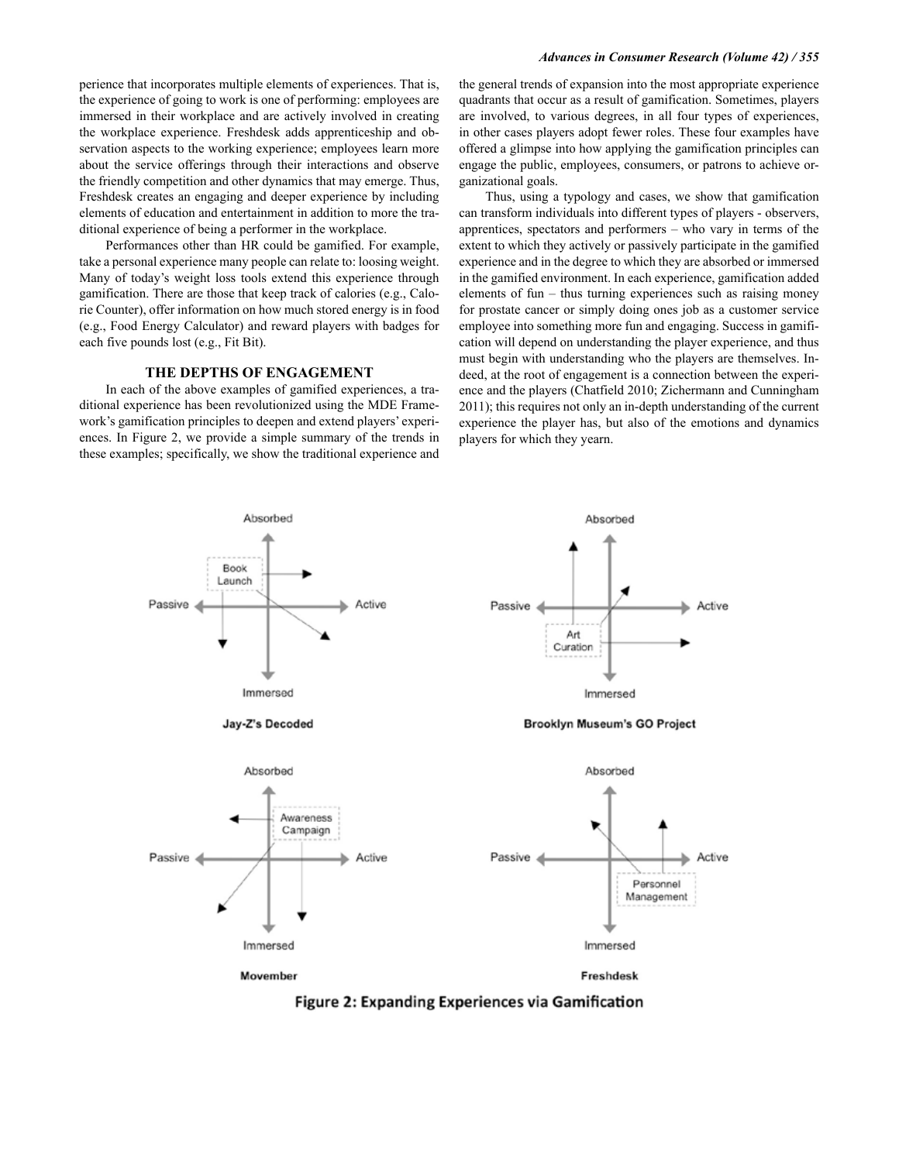#### *Advances in Consumer Research (Volume 42) / 355*

perience that incorporates multiple elements of experiences. That is, the experience of going to work is one of performing: employees are immersed in their workplace and are actively involved in creating the workplace experience. Freshdesk adds apprenticeship and observation aspects to the working experience; employees learn more about the service offerings through their interactions and observe the friendly competition and other dynamics that may emerge. Thus, Freshdesk creates an engaging and deeper experience by including elements of education and entertainment in addition to more the traditional experience of being a performer in the workplace.

Performances other than HR could be gamified. For example, take a personal experience many people can relate to: loosing weight. Many of today's weight loss tools extend this experience through gamification. There are those that keep track of calories (e.g., Calorie Counter), offer information on how much stored energy is in food (e.g., Food Energy Calculator) and reward players with badges for each five pounds lost (e.g., Fit Bit).

### **THE DEPTHS OF ENGAGEMENT**

In each of the above examples of gamified experiences, a traditional experience has been revolutionized using the MDE Framework's gamification principles to deepen and extend players' experiences. In Figure 2, we provide a simple summary of the trends in these examples; specifically, we show the traditional experience and the general trends of expansion into the most appropriate experience quadrants that occur as a result of gamification. Sometimes, players are involved, to various degrees, in all four types of experiences, in other cases players adopt fewer roles. These four examples have offered a glimpse into how applying the gamification principles can engage the public, employees, consumers, or patrons to achieve organizational goals.

Thus, using a typology and cases, we show that gamification can transform individuals into different types of players - observers, apprentices, spectators and performers – who vary in terms of the extent to which they actively or passively participate in the gamified experience and in the degree to which they are absorbed or immersed in the gamified environment. In each experience, gamification added elements of fun – thus turning experiences such as raising money for prostate cancer or simply doing ones job as a customer service employee into something more fun and engaging. Success in gamification will depend on understanding the player experience, and thus must begin with understanding who the players are themselves. Indeed, at the root of engagement is a connection between the experience and the players (Chatfield 2010; Zichermann and Cunningham 2011); this requires not only an in-depth understanding of the current experience the player has, but also of the emotions and dynamics players for which they yearn.



Figure 2: Expanding Experiences via Gamification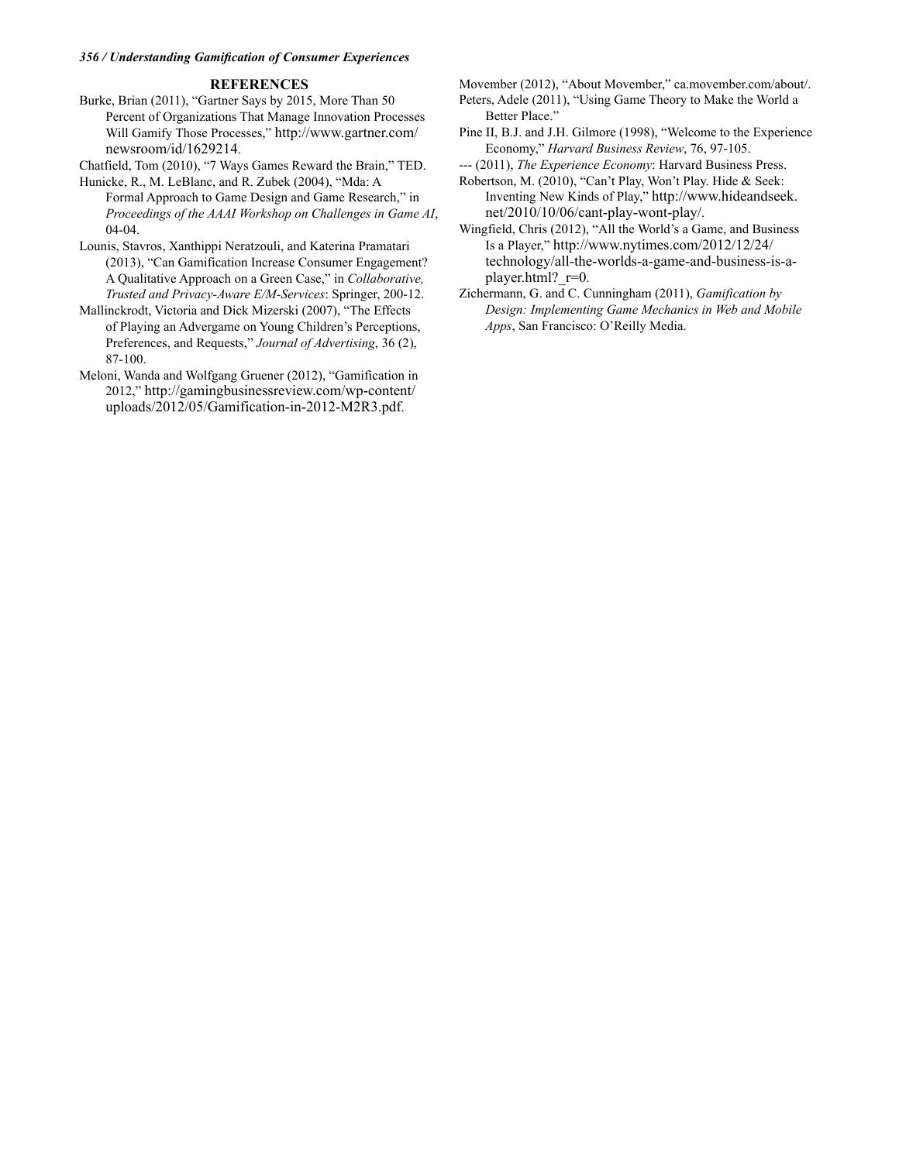### *356 / Understanding Gamification of Consumer Experiences*

## **REFERENCES**

Burke, Brian (2011), "Gartner Says by 2015, More Than 50 Percent of Organizations That Manage Innovation Processes Will Gamify Those Processes," http://www.gartner.com/ newsroom/id/1629214.

Chatfield, Tom (2010), "7 Ways Games Reward the Brain," TED.

Hunicke, R., M. LeBlanc, and R. Zubek (2004), "Mda: A Formal Approach to Game Design and Game Research," in *Proceedings of the AAAI Workshop on Challenges in Game AI*, 04-04.

Lounis, Stavros, Xanthippi Neratzouli, and Katerina Pramatari (2013), "Can Gamification Increase Consumer Engagement? A Qualitative Approach on a Green Case," in *Collaborative, Trusted and Privacy-Aware E/M-Services*: Springer, 200-12.

Mallinckrodt, Victoria and Dick Mizerski (2007), "The Effects of Playing an Advergame on Young Children's Perceptions, Preferences, and Requests," *Journal of Advertising*, 36 (2), 87-100.

Meloni, Wanda and Wolfgang Gruener (2012), "Gamification in 2012," http://gamingbusinessreview.com/wp-content/ uploads/2012/05/Gamification-in-2012-M2R3.pdf.

Movember (2012), "About Movember," ca.movember.com/about/.

Peters, Adele (2011), "Using Game Theory to Make the World a Better Place."

Pine II, B.J. and J.H. Gilmore (1998), "Welcome to the Experience Economy," *Harvard Business Review*, 76, 97-105.

--- (2011), *The Experience Economy*: Harvard Business Press.

Robertson, M. (2010), "Can't Play, Won't Play. Hide & Seek: Inventing New Kinds of Play," http://www.hideandseek. net/2010/10/06/cant-play-wont-play/.

Wingfield, Chris (2012), "All the World's a Game, and Business Is a Player," http://www.nytimes.com/2012/12/24/ technology/all-the-worlds-a-game-and-business-is-aplayer.html? r=0.

Zichermann, G. and C. Cunningham (2011), *Gamification by Design: Implementing Game Mechanics in Web and Mobile Apps*, San Francisco: O'Reilly Media.